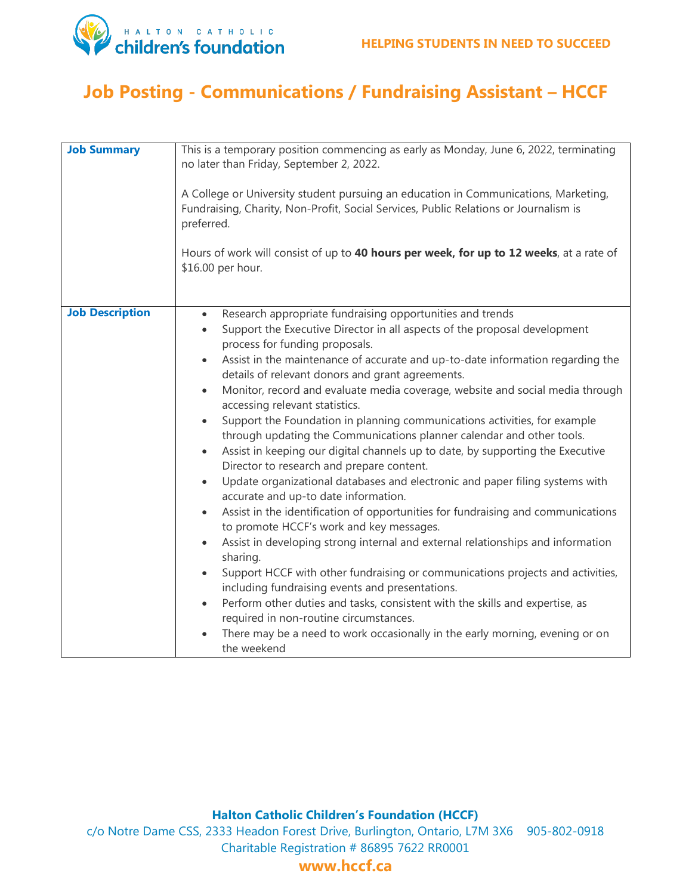

# **Job Posting - Communications / Fundraising Assistant – HCCF**

| <b>Job Summary</b>     | This is a temporary position commencing as early as Monday, June 6, 2022, terminating<br>no later than Friday, September 2, 2022.                                                         |
|------------------------|-------------------------------------------------------------------------------------------------------------------------------------------------------------------------------------------|
|                        | A College or University student pursuing an education in Communications, Marketing,<br>Fundraising, Charity, Non-Profit, Social Services, Public Relations or Journalism is<br>preferred. |
|                        | Hours of work will consist of up to 40 hours per week, for up to 12 weeks, at a rate of<br>\$16.00 per hour.                                                                              |
|                        |                                                                                                                                                                                           |
| <b>Job Description</b> | Research appropriate fundraising opportunities and trends<br>$\bullet$                                                                                                                    |
|                        | Support the Executive Director in all aspects of the proposal development<br>$\bullet$<br>process for funding proposals.                                                                  |
|                        | Assist in the maintenance of accurate and up-to-date information regarding the                                                                                                            |
|                        |                                                                                                                                                                                           |
|                        | details of relevant donors and grant agreements.                                                                                                                                          |
|                        | Monitor, record and evaluate media coverage, website and social media through<br>$\bullet$<br>accessing relevant statistics.                                                              |
|                        | Support the Foundation in planning communications activities, for example<br>$\bullet$<br>through updating the Communications planner calendar and other tools.                           |
|                        | Assist in keeping our digital channels up to date, by supporting the Executive<br>$\bullet$<br>Director to research and prepare content.                                                  |
|                        | Update organizational databases and electronic and paper filing systems with<br>$\bullet$<br>accurate and up-to date information.                                                         |
|                        | Assist in the identification of opportunities for fundraising and communications<br>to promote HCCF's work and key messages.                                                              |
|                        | Assist in developing strong internal and external relationships and information<br>$\bullet$<br>sharing.                                                                                  |
|                        | Support HCCF with other fundraising or communications projects and activities,<br>including fundraising events and presentations.                                                         |
|                        | Perform other duties and tasks, consistent with the skills and expertise, as<br>$\bullet$<br>required in non-routine circumstances.                                                       |
|                        | There may be a need to work occasionally in the early morning, evening or on<br>the weekend                                                                                               |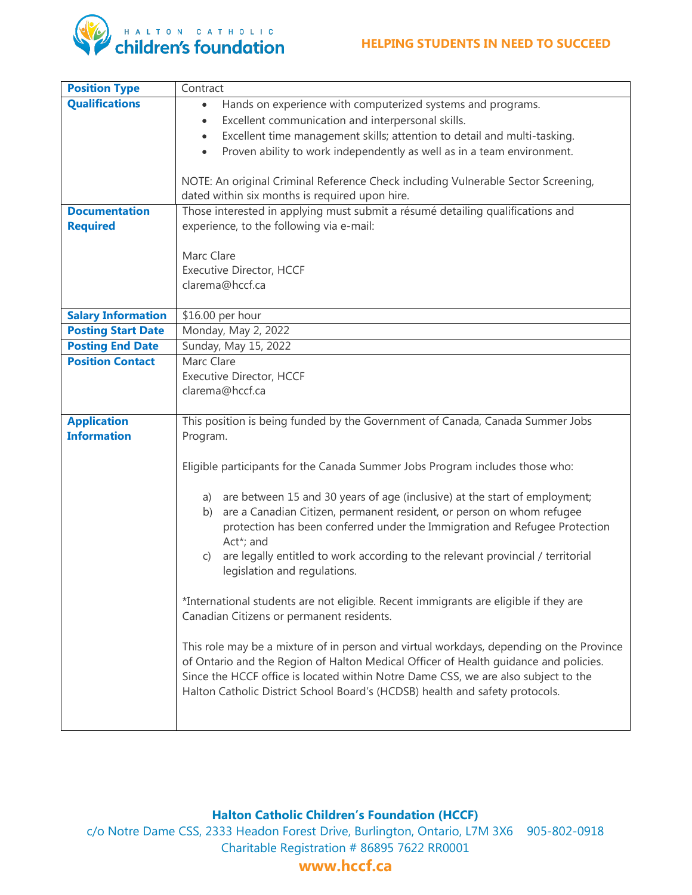#### **HELPING STUDENTS IN NEED TO SUCCEED**



| <b>Position Type</b>      | Contract                                                                                        |
|---------------------------|-------------------------------------------------------------------------------------------------|
| <b>Qualifications</b>     | Hands on experience with computerized systems and programs.                                     |
|                           | Excellent communication and interpersonal skills.<br>$\bullet$                                  |
|                           | Excellent time management skills; attention to detail and multi-tasking.<br>$\bullet$           |
|                           | Proven ability to work independently as well as in a team environment.                          |
|                           |                                                                                                 |
|                           | NOTE: An original Criminal Reference Check including Vulnerable Sector Screening,               |
|                           | dated within six months is required upon hire.                                                  |
| <b>Documentation</b>      | Those interested in applying must submit a résumé detailing qualifications and                  |
| <b>Required</b>           | experience, to the following via e-mail:                                                        |
|                           |                                                                                                 |
|                           | Marc Clare                                                                                      |
|                           | <b>Executive Director, HCCF</b>                                                                 |
|                           | clarema@hccf.ca                                                                                 |
|                           |                                                                                                 |
| <b>Salary Information</b> | \$16.00 per hour                                                                                |
| <b>Posting Start Date</b> | Monday, May 2, 2022                                                                             |
| <b>Posting End Date</b>   | Sunday, May 15, 2022                                                                            |
| <b>Position Contact</b>   | Marc Clare                                                                                      |
|                           | <b>Executive Director, HCCF</b>                                                                 |
|                           | clarema@hccf.ca                                                                                 |
|                           |                                                                                                 |
|                           |                                                                                                 |
| <b>Application</b>        | This position is being funded by the Government of Canada, Canada Summer Jobs                   |
| <b>Information</b>        | Program.                                                                                        |
|                           |                                                                                                 |
|                           | Eligible participants for the Canada Summer Jobs Program includes those who:                    |
|                           |                                                                                                 |
|                           | a) are between 15 and 30 years of age (inclusive) at the start of employment;                   |
|                           | are a Canadian Citizen, permanent resident, or person on whom refugee<br>b)                     |
|                           | protection has been conferred under the Immigration and Refugee Protection                      |
|                           | Act*; and                                                                                       |
|                           | are legally entitled to work according to the relevant provincial / territorial<br>$\mathsf{C}$ |
|                           | legislation and regulations.                                                                    |
|                           |                                                                                                 |
|                           | *International students are not eligible. Recent immigrants are eligible if they are            |
|                           | Canadian Citizens or permanent residents.                                                       |
|                           |                                                                                                 |
|                           | This role may be a mixture of in person and virtual workdays, depending on the Province         |
|                           | of Ontario and the Region of Halton Medical Officer of Health guidance and policies.            |
|                           | Since the HCCF office is located within Notre Dame CSS, we are also subject to the              |
|                           | Halton Catholic District School Board's (HCDSB) health and safety protocols.                    |
|                           |                                                                                                 |

### **Halton Catholic Children's Foundation (HCCF)**

c/o Notre Dame CSS, 2333 Headon Forest Drive, Burlington, Ontario, L7M 3X6 905-802-0918 Charitable Registration # 86895 7622 RR0001

## **www.hccf.ca**